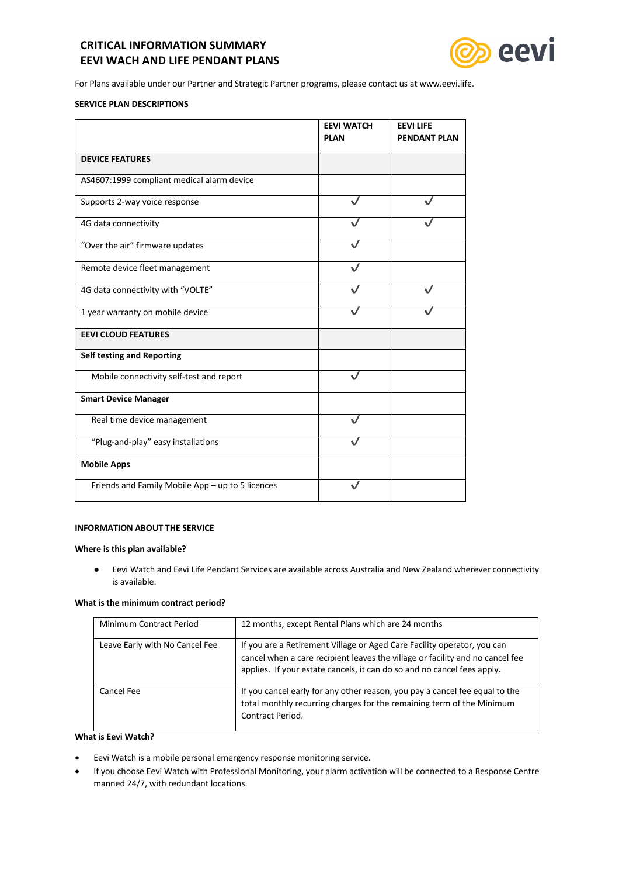# **CRITICAL INFORMATION SUMMARY EEVI WACH AND LIFE PENDANT PLANS**



For Plans available under our Partner and Strategic Partner programs, please contact us at www.eevi.life.

# **SERVICE PLAN DESCRIPTIONS**

|                                                  | <b>EEVI WATCH</b> | <b>EEVILIFE</b>     |  |
|--------------------------------------------------|-------------------|---------------------|--|
|                                                  | <b>PLAN</b>       | <b>PENDANT PLAN</b> |  |
| <b>DEVICE FEATURES</b>                           |                   |                     |  |
| AS4607:1999 compliant medical alarm device       |                   |                     |  |
| Supports 2-way voice response                    |                   |                     |  |
| 4G data connectivity                             |                   |                     |  |
| "Over the air" firmware updates                  |                   |                     |  |
| Remote device fleet management                   |                   |                     |  |
| 4G data connectivity with "VOLTE"                |                   |                     |  |
| 1 year warranty on mobile device                 |                   |                     |  |
| <b>EEVI CLOUD FEATURES</b>                       |                   |                     |  |
| Self testing and Reporting                       |                   |                     |  |
| Mobile connectivity self-test and report         |                   |                     |  |
| <b>Smart Device Manager</b>                      |                   |                     |  |
| Real time device management                      |                   |                     |  |
| "Plug-and-play" easy installations               |                   |                     |  |
| <b>Mobile Apps</b>                               |                   |                     |  |
| Friends and Family Mobile App - up to 5 licences |                   |                     |  |

## **INFORMATION ABOUT THE SERVICE**

#### **Where is this plan available?**

● Eevi Watch and Eevi Life Pendant Services are available across Australia and New Zealand wherever connectivity is available.

# **What is the minimum contract period?**

| Minimum Contract Period        | 12 months, except Rental Plans which are 24 months                                                                                                                                                                                  |
|--------------------------------|-------------------------------------------------------------------------------------------------------------------------------------------------------------------------------------------------------------------------------------|
| Leave Early with No Cancel Fee | If you are a Retirement Village or Aged Care Facility operator, you can<br>cancel when a care recipient leaves the village or facility and no cancel fee<br>applies. If your estate cancels, it can do so and no cancel fees apply. |
| Cancel Fee                     | If you cancel early for any other reason, you pay a cancel fee equal to the<br>total monthly recurring charges for the remaining term of the Minimum<br>Contract Period.                                                            |

# **What is Eevi Watch?**

- Eevi Watch is a mobile personal emergency response monitoring service.
- If you choose Eevi Watch with Professional Monitoring, your alarm activation will be connected to a Response Centre manned 24/7, with redundant locations.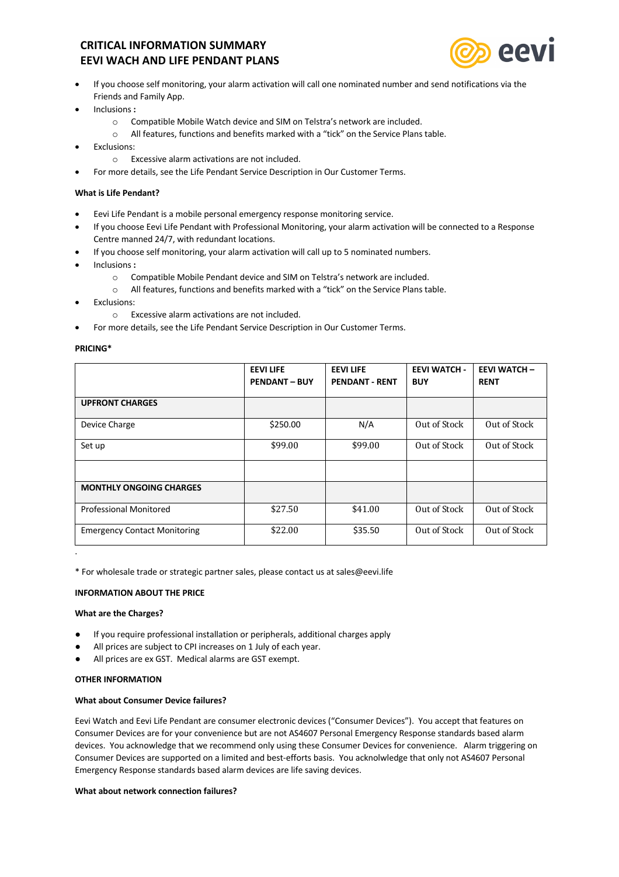# **CRITICAL INFORMATION SUMMARY EEVI WACH AND LIFE PENDANT PLANS**



- If you choose self monitoring, your alarm activation will call one nominated number and send notifications via the Friends and Family App.
- Inclusions **:**
	- o Compatible Mobile Watch device and SIM on Telstra's network are included.
	- o All features, functions and benefits marked with a "tick" on the Service Plans table.
- Exclusions:
	- o Excessive alarm activations are not included.
- For more details, see the Life Pendant Service Description in Our Customer Terms.

## **What is Life Pendant?**

- Eevi Life Pendant is a mobile personal emergency response monitoring service.
- If you choose Eevi Life Pendant with Professional Monitoring, your alarm activation will be connected to a Response Centre manned 24/7, with redundant locations.
	- If you choose self monitoring, your alarm activation will call up to 5 nominated numbers.
- Inclusions **:**
	- o Compatible Mobile Pendant device and SIM on Telstra's network are included.
	- o All features, functions and benefits marked with a "tick" on the Service Plans table.
- **Fxclusions:** 
	- o Excessive alarm activations are not included.
- For more details, see the Life Pendant Service Description in Our Customer Terms.

#### **PRICING\***

|                                     | <b>EEVILIFE</b><br><b>PENDANT - BUY</b> | <b>EEVILIFE</b><br><b>PENDANT - RENT</b> | <b>EEVI WATCH -</b><br><b>BUY</b> | <b>EEVI WATCH -</b><br><b>RENT</b> |
|-------------------------------------|-----------------------------------------|------------------------------------------|-----------------------------------|------------------------------------|
| <b>UPFRONT CHARGES</b>              |                                         |                                          |                                   |                                    |
| Device Charge                       | \$250.00                                | N/A                                      | Out of Stock                      | Out of Stock                       |
| Set up                              | \$99.00                                 | \$99.00                                  | Out of Stock                      | Out of Stock                       |
|                                     |                                         |                                          |                                   |                                    |
| <b>MONTHLY ONGOING CHARGES</b>      |                                         |                                          |                                   |                                    |
| Professional Monitored              | \$27.50                                 | \$41.00                                  | Out of Stock                      | Out of Stock                       |
| <b>Emergency Contact Monitoring</b> | \$22.00                                 | \$35.50                                  | Out of Stock                      | Out of Stock                       |

\* For wholesale trade or strategic partner sales, please contact us at sales@eevi.life

#### **INFORMATION ABOUT THE PRICE**

#### **What are the Charges?**

.

- If you require professional installation or peripherals, additional charges apply
- All prices are subject to CPI increases on 1 July of each year.
- All prices are ex GST. Medical alarms are GST exempt.

## **OTHER INFORMATION**

#### **What about Consumer Device failures?**

Eevi Watch and Eevi Life Pendant are consumer electronic devices ("Consumer Devices"). You accept that features on Consumer Devices are for your convenience but are not AS4607 Personal Emergency Response standards based alarm devices. You acknowledge that we recommend only using these Consumer Devices for convenience. Alarm triggering on Consumer Devices are supported on a limited and best-efforts basis. You acknolwledge that only not AS4607 Personal Emergency Response standards based alarm devices are life saving devices.

#### **What about network connection failures?**